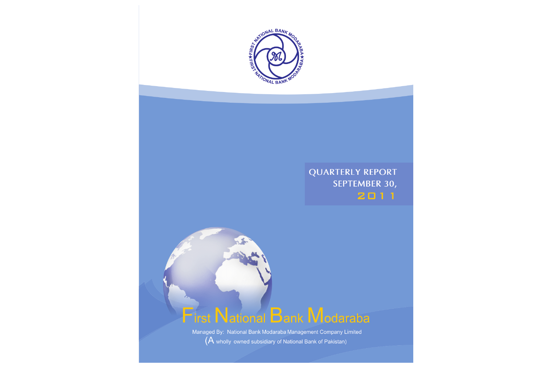

## **QUARTERLY REPORT** SEPTEMBER 30, 2011

# **First National Bank Modaraba**

Managed By: National Bank Modaraba Management Company Limited (A wholly owned subsidiary of National Bank of Pakistan)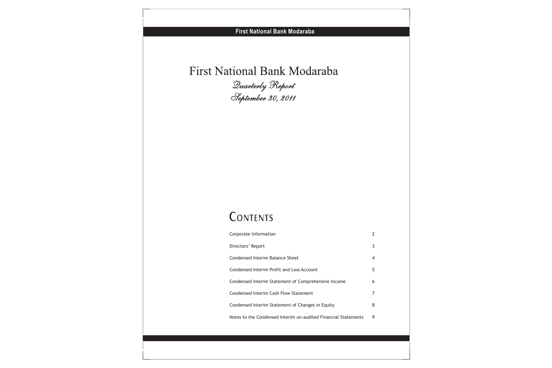# First National Bank Modaraba *Quarterly Report September 30, 2011*

# CONTENTS

| Corporate Information                                          |   |
|----------------------------------------------------------------|---|
| Directors' Report                                              | 3 |
| Condensed Interim Balance Sheet                                | 4 |
| Condensed Interim Profit and Loss Account                      | 5 |
| Condensed Interim Statement of Comprehensive Income            | 6 |
| Condensed Interim Cash Flow Statement                          | 7 |
| Condensed Interim Statement of Changes in Equity               | 8 |
| Notes to the Condensed Interim un-audited Financial Statements | 9 |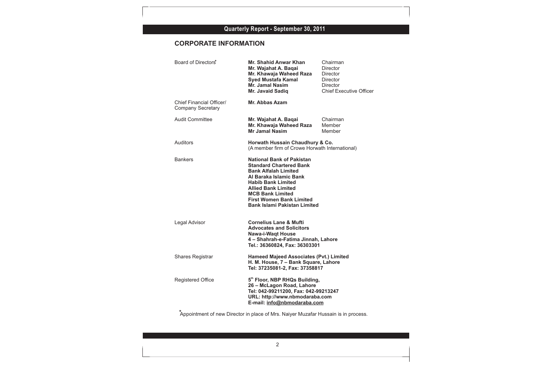## **Quarterly Report - September 30, 2011**

## **CORPORATE INFORMATION**

| Board of Directors <sup>*</sup>                      | Mr. Shahid Anwar Khan<br>Mr. Wajahat A. Baqai<br>Mr. Khawaja Waheed Raza<br><b>Syed Mustafa Kamal</b><br>Mr. Jamal Nasim<br>Mr. Javaid Sadiq                                                                                                                                                | Chairman<br><b>Director</b><br><b>Director</b><br><b>Director</b><br>Director<br><b>Chief Executive Officer</b> |
|------------------------------------------------------|---------------------------------------------------------------------------------------------------------------------------------------------------------------------------------------------------------------------------------------------------------------------------------------------|-----------------------------------------------------------------------------------------------------------------|
| Chief Financial Officer/<br><b>Company Secretary</b> | Mr. Abbas Azam                                                                                                                                                                                                                                                                              |                                                                                                                 |
| <b>Audit Committee</b>                               | Mr. Wajahat A. Baqai<br>Mr. Khawaja Waheed Raza<br><b>Mr Jamal Nasim</b>                                                                                                                                                                                                                    | Chairman<br>Member<br>Member                                                                                    |
| Auditors                                             | Horwath Hussain Chaudhury & Co.<br>(A member firm of Crowe Horwath International)                                                                                                                                                                                                           |                                                                                                                 |
| <b>Bankers</b>                                       | <b>National Bank of Pakistan</b><br><b>Standard Chartered Bank</b><br><b>Bank Alfalah Limited</b><br>Al Baraka Islamic Bank<br><b>Habib Bank Limited</b><br><b>Allied Bank Limited</b><br><b>MCB Bank Limited</b><br><b>First Women Bank Limited</b><br><b>Bank Islami Pakistan Limited</b> |                                                                                                                 |
| Legal Advisor                                        | <b>Cornelius Lane &amp; Mufti</b><br><b>Advocates and Solicitors</b><br><b>Nawa-i-Waqt House</b><br>4 - Shahrah-e-Fatima Jinnah, Lahore<br>Tel.: 36360824, Fax: 36303301                                                                                                                    |                                                                                                                 |
| <b>Shares Registrar</b>                              | <b>Hameed Majeed Associates (Pvt.) Limited</b><br>H. M. House, 7 - Bank Square, Lahore<br>Tel: 37235081-2, Fax: 37358817                                                                                                                                                                    |                                                                                                                 |
| <b>Registered Office</b>                             | 5th Floor, NBP RHQs Building,<br>26 - McLagon Road, Lahore<br>Tel: 042-99211200, Fax: 042-99213247<br>URL: http://www.nbmodaraba.com<br>E-mail: info@nbmodaraba.com                                                                                                                         |                                                                                                                 |
|                                                      | Appointment of new Director in place of Mrs. Naiyer Muzafar Hussain is in process.                                                                                                                                                                                                          |                                                                                                                 |
|                                                      |                                                                                                                                                                                                                                                                                             |                                                                                                                 |
|                                                      |                                                                                                                                                                                                                                                                                             |                                                                                                                 |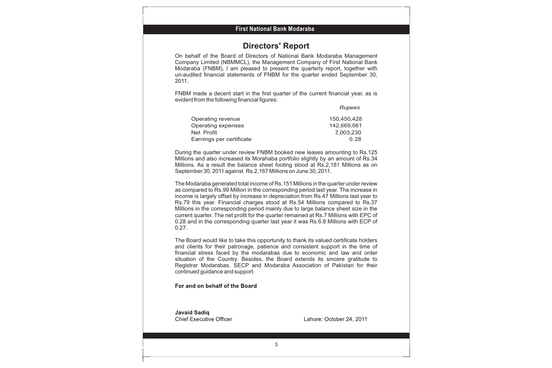## **Directors' Report**

On behalf of the Board of Directors of National Bank Modaraba Management Company Limited (NBMMCL), the Management Company of First National Bank Modaraba (FNBM), I am pleased to present the quarterly report, together with un-audited financial statements of FNBM for the quarter ended September 30, 2011.

FNBM made a decent start in the first quarter of the current financial year, as is evident from the following financial figures:

|                          | Rupees      |
|--------------------------|-------------|
| Operating revenue        | 150,450,428 |
| Operating expenses       | 142,669,061 |
| Net Profit               | 7,003,230   |
| Earnings per certificate | 0.28        |

During the quarter under review FNBM booked new leases amounting to Rs.125 Millions and also increased its Morahaba portfolio slightly by an amount of Rs.34 Millions. As a result the balance sheet footing stood at Rs.2,181 Millions as on September 30, 2011 against Rs.2,167 Millions on June 30, 2011.

The Modaraba generated total income of Rs.151 Millions in the quarter under review as compared to Rs.99 Million in the corresponding period last year. The increase in income is largely offset by increase in depreciation from Rs.47 Millions last year to Rs.79 this year. Financial charges stood at Rs.54 Millions compared to Rs.37 Millions in the corresponding period mainly due to large balance sheet size in the current quarter. The net profit for the quarter remained at Rs.7 Millions with EPC of 0.28 and in the corresponding quarter last year it was Rs.6.8 Millions with ECP of 0.27.

The Board would like to take this opportunity to thank its valued certificate holders and clients for their patronage, patience and consistent support in the time of financial stress faced by the modarabas due to economic and law and order situation of the Country. Besides, the Board extends its sincere gratitude to Registrar Modarabas, SECP and Modaraba Association of Pakistan for their continued guidance and support.

For and on behalf of the Board

**Javaid Sadiq Chief Executive Officer** 

Lahore: October 24, 2011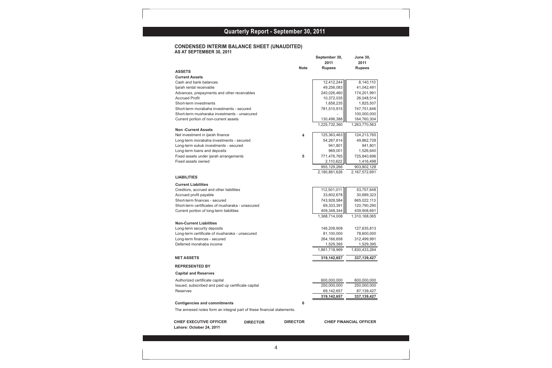#### **Quarterly Report - September 30, 2010 Quarterly Report - September 30, 2011**

#### **CONDENSED INTERIM BALANCE SHEET (UNAUDITED) AS AT SEPTEMBER 30, 2011**

|                                                                        |                 | September 30,<br>2011 | <b>June 30,</b><br>2011        |
|------------------------------------------------------------------------|-----------------|-----------------------|--------------------------------|
|                                                                        | <b>Note</b>     | <b>Rupees</b>         | <b>Rupees</b>                  |
| <b>ASSETS</b>                                                          |                 |                       |                                |
| <b>Current Assets</b>                                                  |                 |                       |                                |
| Cash and bank balances                                                 |                 | 12,412,244            | 8,140,110                      |
| ljarah rental receivable                                               |                 | 49,256,083            | 41,042,491                     |
| Advances, prepayments and other receivables                            |                 | 240,026,460           | 174,201,991                    |
| <b>Accrued Profit</b>                                                  |                 | 10,372,035            | 26,048,514                     |
| Short-term investments                                                 |                 | 1,658,235             | 1,825,507                      |
| Short-term morabaha investments - secured                              |                 | 781,510,915           | 747,751,646                    |
| Short-term musharaka investments - unsecured                           |                 |                       | 100,000,000                    |
| Current portion of non-current assets                                  |                 | 130,496,388           | 164,760,304                    |
|                                                                        |                 | 1,225,732,360         | 1,263,770,563                  |
| <b>Non-Current Assets</b>                                              |                 |                       |                                |
| Net investment in ijarah finance                                       | 4               | 125,363,463           | 124,213,765                    |
| Long-term morabaha investments - secured                               |                 | 54,267,614            | 49,862,728                     |
| Long-term sukuk investments - secured                                  |                 | 941,801               | 941,801                        |
| Long-term loans and deposits                                           |                 | 969,001               | 1,526,640                      |
| Fixed assets under ijarah arrangements                                 | 5               | 771,476,765           | 725,840,696                    |
| Fixed assets owned                                                     |                 | 2,110,622             | 1,416,498                      |
|                                                                        |                 | 955,129,266           | 903,802,128                    |
|                                                                        |                 | 2.180.861.626         | 2,167,572,691                  |
| <b>LIABILITIES</b>                                                     |                 |                       |                                |
| <b>Current Liabilities</b>                                             |                 |                       |                                |
| Creditors, accrued and other liabilities                               |                 | 112,501,011           | 53,757,648                     |
| Accrued profit payable                                                 |                 | 33,602,678            | 30,689,323                     |
| Short-term finances - secured                                          |                 | 743,928,584           | 665,022,113                    |
| Short-term certificates of musharaka - unsecured                       |                 | 69,333,391            | 120,790,290                    |
| Current portion of long-term liabilities                               |                 | 409,348,344           | 439,908,691                    |
|                                                                        |                 | 1,368,714,008         | 1,310,168,065                  |
| <b>Non-Current Liabilities</b>                                         |                 |                       |                                |
| Long-term security deposits                                            |                 | 146,208,908           | 127,635,813                    |
| Long-term certificate of musharaka - unsecured                         |                 | 81,100,000            | 78,600,000                     |
| Long-term finances - secured                                           |                 | 264,166,658           | 312,499,991                    |
| Deferred morahaba income                                               |                 | 1,529,395             | 1,529,395                      |
|                                                                        |                 | 1,861,718,969         | 1,830,433,264                  |
| <b>NET ASSETS</b>                                                      |                 | 319,142,657           | 337, 139, 427                  |
|                                                                        |                 |                       |                                |
| <b>REPRESENTED BY</b>                                                  |                 |                       |                                |
| <b>Capital and Reserves</b>                                            |                 |                       |                                |
| Authorized certificate capital                                         |                 | 600,000,000           | 600,000,000                    |
| Issued, subscribed and paid up certificate capital                     |                 | 250,000,000           | 250,000,000                    |
| Reserves                                                               |                 | 69,142,657            | 87,139,427                     |
|                                                                        |                 | 319,142,657           | 337,139,427                    |
| <b>Contigencies and commitments</b>                                    | 6               |                       |                                |
| The annexed notes form an integral part of these financial statements. |                 |                       |                                |
|                                                                        |                 |                       |                                |
| <b>CHIEF EXECUTIVE OFFICER</b><br><b>DIRECTOR</b>                      | <b>DIRECTOR</b> |                       | <b>CHIEF FINANCIAL OFFICER</b> |
| Lahore: October 24, 2011                                               |                 |                       |                                |
|                                                                        |                 |                       |                                |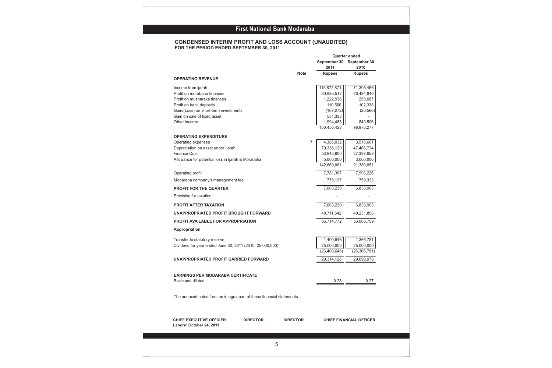#### **CONDENSED INTERIM PROFIT AND LOSS ACCOUNT (UNAUDITED) FOR THE PERIOD ENDED SEPTEMBER 30, 2011**

|                                                                        |                 |                 |                |                      | <b>Quarter ended</b>           |
|------------------------------------------------------------------------|-----------------|-----------------|----------------|----------------------|--------------------------------|
|                                                                        |                 |                 |                | September 30         | September 30                   |
|                                                                        |                 |                 |                | 2011                 | 2010                           |
| <b>OPERATING REVENUE</b>                                               |                 | <b>Note</b>     |                | <b>Rupees</b>        | <b>Rupees</b>                  |
|                                                                        |                 |                 |                |                      |                                |
| Income from ijarah                                                     |                 |                 |                | 115,872,871          | 71,305,466                     |
| Profit on morabaha finances                                            |                 |                 |                | 30,885,512           | 26,494,846                     |
| Profit on musharaka finances                                           |                 |                 |                | 1,222,936<br>110,560 | 250,687                        |
| Profit on bank deposits<br>Gain/(Loss) on short-term investments       |                 |                 |                | (167, 272)           | 102,338                        |
| Gain on sale of fixed asset                                            |                 |                 |                | 531,333              | (20, 566)                      |
| Other income                                                           |                 |                 |                | 1,994,488            | 840,506                        |
|                                                                        |                 |                 |                | 150,450,428          | 98,973,277                     |
| <b>OPERATING EXPENDITURE</b>                                           |                 |                 |                |                      |                                |
| Operating expenses                                                     |                 |                 | $\overline{7}$ | 4,385,032            | 3,515,661                      |
| Depreciation on asset under Ijarah                                     |                 |                 |                | 79,338,129           | 47,466,734                     |
| <b>Finance Cost</b>                                                    |                 |                 |                | 53,945,900           | 37,397,656                     |
| Allowance for potential loss in Ijarah & Morabaha                      |                 |                 |                | 5,000,000            | 3,000,000                      |
|                                                                        |                 |                 |                | 142,669,061          | 91,380,051                     |
| Operating profit                                                       |                 |                 |                | 7,781,367            | 7,593,226                      |
| Modaraba company's management fee                                      |                 |                 |                | 778,137              | 759,323                        |
| PROFIT FOR THE QUARTER                                                 |                 |                 |                | 7,003,230            | 6,833,903                      |
| Provision for taxation                                                 |                 |                 |                |                      |                                |
| <b>PROFIT AFTER TAXATION</b>                                           |                 |                 |                | 7,003,230            | 6,833,903                      |
| UNAPPROPRIATED PROFIT BROUGHT FORWARD                                  |                 |                 |                | 48,711,542           | 49,231,856                     |
| <b>PROFIT AVAILABLE FOR APPROPRIATION</b>                              |                 |                 |                | 55,714,772           | 56,065,759                     |
| Appropriation                                                          |                 |                 |                |                      |                                |
| Transfer to statutory reserve                                          |                 |                 |                | 1,400,646            | 1,366,781                      |
| Dividend for year ended June 30, 2011 (2010: 25,000,000)               |                 |                 |                | 25,000,000           | 25,000,000                     |
|                                                                        |                 |                 |                | (26, 400, 646)       | (26, 366, 781)                 |
| UNAPPROPRIATED PROFIT CARRIED FORWARD                                  |                 |                 |                | 29,314,126           | 29,698,978                     |
|                                                                        |                 |                 |                |                      |                                |
| <b>EARNINGS PER MODARABA CERTIFICATE</b>                               |                 |                 |                |                      |                                |
| Basic and diluted                                                      |                 |                 |                | 0.28                 | 0.27                           |
|                                                                        |                 |                 |                |                      |                                |
| The annexed notes form an integral part of these financial statements. |                 |                 |                |                      |                                |
|                                                                        |                 |                 |                |                      |                                |
| <b>CHIEF EXECUTIVE OFFICER</b>                                         | <b>DIRECTOR</b> | <b>DIRECTOR</b> |                |                      | <b>CHIEF FINANCIAL OFFICER</b> |
| Lahore: October 24, 2011                                               |                 |                 |                |                      |                                |
|                                                                        |                 |                 |                |                      |                                |
|                                                                        | 5               |                 |                |                      |                                |
|                                                                        |                 |                 |                |                      |                                |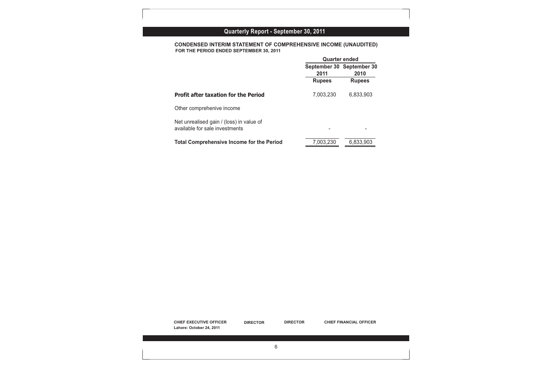| Quarterly Report - September 30, 2011 |  |  |  |  |  |  |  |  |
|---------------------------------------|--|--|--|--|--|--|--|--|
|---------------------------------------|--|--|--|--|--|--|--|--|

**CONDENSED INTERIM STATEMENT OF COMPREHENSIVE INCOME (UNAUDITED) FOR THE PERIOD ENDED SEPTEMBER 30, 2011**

| September 30 September 30<br>2011<br>2010<br><b>Rupees</b><br><b>Rupees</b><br>7,003,230 |                                                                            | <b>Quarter ended</b> |           |
|------------------------------------------------------------------------------------------|----------------------------------------------------------------------------|----------------------|-----------|
|                                                                                          |                                                                            |                      |           |
|                                                                                          |                                                                            |                      |           |
|                                                                                          | <b>Profit after taxation for the Period</b>                                |                      | 6,833,903 |
|                                                                                          | Other comprehenive income                                                  |                      |           |
|                                                                                          | Net unrealised gain / (loss) in value of<br>available for sale investments |                      |           |
|                                                                                          | <b>Total Comprehensive Income for the Period</b>                           | 7,003,230            | 6,833,903 |
|                                                                                          |                                                                            |                      |           |
|                                                                                          |                                                                            |                      |           |
|                                                                                          |                                                                            |                      |           |
|                                                                                          |                                                                            |                      |           |

**CHIEF EXECUTIVE OFFICER DIRECTOR DIRECTOR CHIEF FINANCIAL OFFICER Lahore: October 24, 2011**

6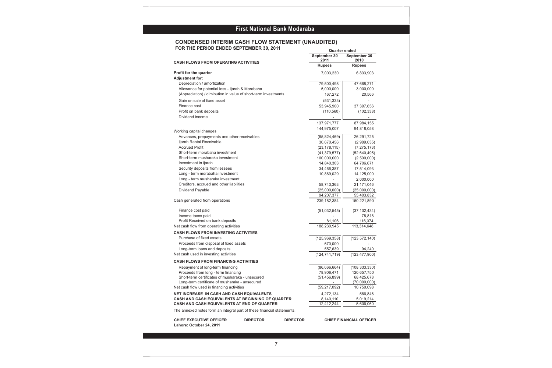#### **CONDENSED INTERIM CASH FLOW STATEMENT (UNAUDITED) FOR THE PERIOD ENDED SEPTEMBER 30, 2011 Quarter ended**

|                                                                        |                 |                 | September 30<br>2011 | September 30<br>2010           |
|------------------------------------------------------------------------|-----------------|-----------------|----------------------|--------------------------------|
| <b>CASH FLOWS FROM OPERATING ACTIVITIES</b>                            |                 |                 | <b>Rupees</b>        | <b>Rupees</b>                  |
| <b>Profit for the quarter</b>                                          |                 |                 | 7,003,230            | 6,833,903                      |
| <b>Adjustment for:</b>                                                 |                 |                 |                      |                                |
| Depreciation / amortization                                            |                 |                 | 79,500,498           | 47,668,271                     |
| Allowance for potential loss - Ijarah & Morabaha                       |                 |                 | 5,000,000            | 3,000,000                      |
| (Appreciation) / diminution in value of short-term investments         |                 |                 | 167,272              | 20,566                         |
| Gain on sale of fixed asset                                            |                 |                 | (531, 333)           |                                |
| Finance cost                                                           |                 |                 | 53,945,900           | 37,397,656                     |
| Profit on bank deposits                                                |                 |                 | (110, 560)           | (102, 338)                     |
| Dividend income                                                        |                 |                 |                      |                                |
|                                                                        |                 |                 | 137,971,777          | 87,984,155                     |
|                                                                        |                 |                 | 144,975,007          | 94,818,058                     |
| Working capital changes                                                |                 |                 |                      |                                |
| Advances, prepayments and other receivables                            |                 |                 | (65,824,469)         | 26,291,725                     |
| Ijarah Rental Receivable                                               |                 |                 | 30,670,456           | (2,989,035)                    |
| <b>Accrued Profit</b>                                                  |                 |                 | (23, 178, 115)       | (7, 275, 173)                  |
| Short-term morabaha investment                                         |                 |                 | (41, 379, 577)       | (52, 640, 495)                 |
| Short-term musharaka investment                                        |                 |                 | 100,000,000          | (2,500,000)                    |
| Investment in ijarah                                                   |                 |                 | 14,840,303           | 64,706,671                     |
| Security deposits from lessees                                         |                 |                 | 34,466,387           | 17,514,093                     |
| Long - term morabaha investment                                        |                 |                 | 10,869,029           | 14,125,000                     |
| Long - term musharaka investment                                       |                 |                 |                      | 2,000,000                      |
| Creditors, accrued and other liabilities                               |                 |                 | 58,743,363           | 21,171,046                     |
| Dividend Payable                                                       |                 |                 | (25,000,000)         | (25,000,000)                   |
|                                                                        |                 |                 | 94,207,377           | 55,403,832                     |
| Cash generated from operations                                         |                 |                 | 239, 182, 384        | 150,221,890                    |
| Finance cost paid                                                      |                 |                 | (51,032,545)         | (37, 102, 434)                 |
| Income taxes paid                                                      |                 |                 |                      | 78,818                         |
| Profit Received on bank deposits                                       |                 |                 | 81,106               | 116,374                        |
| Net cash flow from operating activities                                |                 |                 | 188,230,945          | 113,314,648                    |
| <b>CASH FLOWS FROM INVESTING ACTIVITIES</b>                            |                 |                 |                      |                                |
| Purchase of fixed assets                                               |                 |                 | (125, 969, 358)      | (123, 572, 140)                |
| Proceeds from disposal of fixed assets                                 |                 |                 | 670,000              |                                |
| Long-term loans and deposits                                           |                 |                 | 557,639              | 94,240                         |
| Net cash used in investing activities                                  |                 |                 | (124, 741, 719)      | (123, 477, 900)                |
| <b>CASH FLOWS FROM FINANCING ACTIVITIES</b>                            |                 |                 |                      |                                |
| Repayment of long-term financing                                       |                 |                 | (86,666,664)         | (108, 333, 330)                |
| Proceeds from long - term financing                                    |                 |                 | 78,906,471           | 120,657,750                    |
| Short-term certificates of musharaka - unsecured                       |                 |                 | (51, 456, 899)       | 68,425,678                     |
| Long-term certificate of musharaka - unsecured                         |                 |                 |                      | (70,000,000)                   |
| Net cash flow used in financing activities                             |                 |                 | (59, 217, 092)       | 10,750,098                     |
| NET INCREASE IN CASH AND CASH EQUIVALENTS                              |                 |                 | 4,272,134            | 586,846                        |
| CASH AND CASH EQUIVALENTS AT BEGINNING OF QUARTER                      |                 |                 | 8,140,110            | 5,019,214                      |
| CASH AND CASH EQUIVALENTS AT END OF QUARTER                            |                 |                 | 12,412,244           | 5,606,060                      |
| The annexed notes form an integral part of these financial statements. |                 |                 |                      |                                |
| <b>CHIEF EXECUTIVE OFFICER</b><br>Lahore: October 24, 2011             | <b>DIRECTOR</b> | <b>DIRECTOR</b> |                      | <b>CHIEF FINANCIAL OFFICER</b> |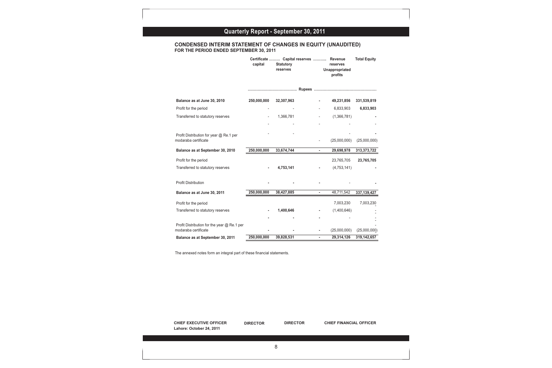## **Quarterly Report - September 30, 2011**

#### **CONDENSED INTERIM STATEMENT OF CHANGES IN EQUITY (UNAUDITED) FOR THE PERIOD ENDED SEPTEMBER 30, 2011**

|                                                                        | capital     | Certificate  Capital reserves<br><b>Statutory</b><br>reserves | <b>Revenue</b><br>reserves<br>Unappropriated<br>profits | <b>Total Equity</b>            |
|------------------------------------------------------------------------|-------------|---------------------------------------------------------------|---------------------------------------------------------|--------------------------------|
|                                                                        |             |                                                               |                                                         |                                |
| Balance as at June 30, 2010                                            | 250,000,000 | 32,307,963                                                    | 49,231,856                                              | 331,539,819                    |
| Profit for the period                                                  |             |                                                               | 6,833,903                                               | 6,833,903                      |
| Transferred to statutory reserves                                      |             | 1,366,781                                                     | (1,366,781)<br>$\overline{\phantom{a}}$                 |                                |
|                                                                        |             |                                                               |                                                         |                                |
| Profit Distribution for year @ Re.1 per<br>modaraba certificate        |             |                                                               | (25,000,000)                                            | (25,000,000)                   |
| Balance as at September 30, 2010                                       | 250,000,000 | 33,674,744                                                    | 29,698,978<br>$\blacksquare$                            | 313,373,722                    |
| Profit for the period                                                  |             |                                                               | 23,765,705                                              | 23,765,705                     |
| Transferred to statutory reserves                                      |             | 4,753,141                                                     | (4, 753, 141)                                           |                                |
| Profit Distribution                                                    |             |                                                               |                                                         |                                |
| Balance as at June 30, 2011                                            | 250,000,000 | 38,427,885                                                    | 48,711,542<br>$\blacksquare$                            | 337, 139, 427                  |
| Profit for the period                                                  |             |                                                               | 7,003,230                                               | 7,003,230                      |
| Transferred to statutory reserves                                      |             | 1,400,646                                                     | (1,400,646)                                             |                                |
|                                                                        |             |                                                               |                                                         |                                |
| Profit Distribution for the year @ Re.1 per<br>modaraba certificate    |             |                                                               | (25,000,000)<br>٠                                       | (25,000,000)                   |
| Balance as at September 30, 2011                                       | 250,000,000 | 39,828,531                                                    | 29,314,126<br>$\mathbf{r}$                              | 319, 142, 657                  |
| The annexed notes form an integral part of these financial statements. |             |                                                               |                                                         |                                |
|                                                                        |             |                                                               |                                                         | <b>CHIEF FINANCIAL OFFICER</b> |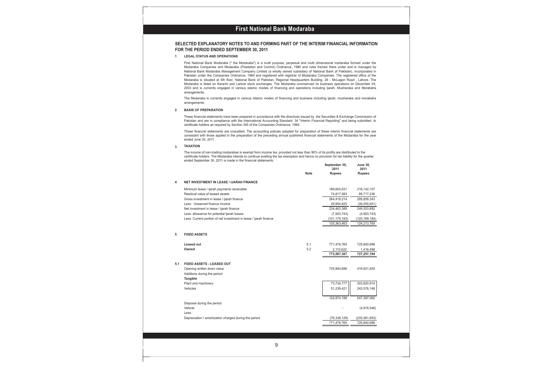#### **First National Bank Modaraba First National Bank Modaraba**

#### **SELECTED EXPLANATORY NOTES TO AND FORMING PART OF THE INTERIM FINANCIAL INFORMATION FOR THE PERIOD ENDED SEPTEMBER 30, 2011**

**1 LEGAL STATUS AND OPERATIONS**

First National Bank Modaraba (" the Modaraba") is a multi purpose, perpetual and multi dimensional modaraba formed under the Modaraba Companies and Modaraba (Floatation and Control) Ordinance, 1980 and rules framed there under and is managed by National Bank Modaraba Management Company Limited (a wholly owned subsidiary of National Bank of Pakistan), incorporated in Pakistan under the Companies Ordinance, 1984 and registered with registrar of Modaraba Companies. The registered office of the Modaraba is situated at 5th floor, National Bank of Pakistan, Regional Headquarters Building, 26 - McLagon Road , Lahore. The Modaraba is listed on Karachi and Lahore stock exchanges. The Modaraba commenced its business operations on December 04, 2003 and is currently engaged in various islamic modes of financing and operations including Ijarah, Musharaka and Morabaha arrangements.

The Modaraba is currently engaged in various Islamic modes of financing and business including ijarah, musharaka and morabaha arrangements.

#### **2 BASIS OF PREPARATION**

These financial statements have been prepared in accordance with the directives issued by the Securities & Exchange Commission of Pakistan and are in compliance with the International Accounting Standard 34 "Interim Financial Reporting" and being submitted to certificate holders as required by Section 245 of the Companies Ordinance, 1984.

These financial statements are unaudited. The accounting policies adopted for preparation of these interim financial statements are consistant with those applied in the preparation of the preceding annual published financial statements of the Modaraba for the year ended June 30, 2011.

#### **3 TAXATION**

The income of non-trading modarabas is exempt from income tax, provided not less than 90% of its profits are distributed to the certificate holders. The Modaraba intends to continue availing the tax exemption and hence no provision for tax liability for the quarter ended September 30, 2011 is made in the financial statements.

|     |                                                                   |             | September 30,<br>2011 | <b>June 30,</b><br>2011 |
|-----|-------------------------------------------------------------------|-------------|-----------------------|-------------------------|
|     |                                                                   | <b>Note</b> | <b>Rupees</b>         | <b>Rupees</b>           |
| 4   | <b>NET INVESTMENT IN LEASE / IJARAH FINANCE</b>                   |             |                       |                         |
|     | Minimum lease / ijarah payments receivable                        |             | 189,600,631           | 216, 142, 107           |
|     | Residual value of leased assets                                   |             | 74,817,583            | 69,717,236              |
|     | Gross investment in lease / ijarah finance                        |             | 264,418,214           | 285,859,343             |
|     | Less: Unearned finance income                                     |             | 29,954,825            | (36, 555, 651)          |
|     | Net investment in lease / ijarah finance                          |             | 234,463,389           | 249,303,692             |
|     | Less: allowance for potential ijarah losses                       |             | (7,920,743)           | (4,920,743)             |
|     | Less: Current portion of net investment in lease / ijarah finance |             | (101, 179, 183)       | (120, 169, 184)         |
|     |                                                                   |             | 125,363,463           | 124,213,765             |
|     |                                                                   |             |                       |                         |
| 5   | <b>FIXED ASSETS</b>                                               |             |                       |                         |
|     | Leased out                                                        | 5.1         | 771,476,765           | 725,840,696             |
|     | Owned                                                             | 5.2         | 2,110,622             | 1,416,498               |
|     |                                                                   |             | 773,587,387           | 727,257,194             |
| 5.1 | <b>FIXED ASSETS - LEASED OUT</b>                                  |             |                       |                         |
|     | Opening written down value                                        |             | 725,840,696           | 418,921,835             |
|     | Additions during the period                                       |             |                       |                         |
|     | Tangible                                                          |             |                       |                         |
|     | Plant and machinery                                               |             | 73,734,777            | 303,820,914             |
|     | Vehicles                                                          |             | 51,239,421            | 243,576,146             |
|     |                                                                   |             |                       |                         |
|     |                                                                   |             | 124,974,198           | 547,397,060             |
|     | Disposal during the period                                        |             |                       |                         |
|     | Vehicle                                                           |             |                       | (4,916,546)             |
|     | Less:                                                             |             |                       |                         |
|     | Depreciation / amortization charged during the period             |             | (79, 338, 129)        | (235, 561, 653)         |
|     |                                                                   |             | 771,476,765           | 725,840,696             |
|     |                                                                   |             |                       |                         |

9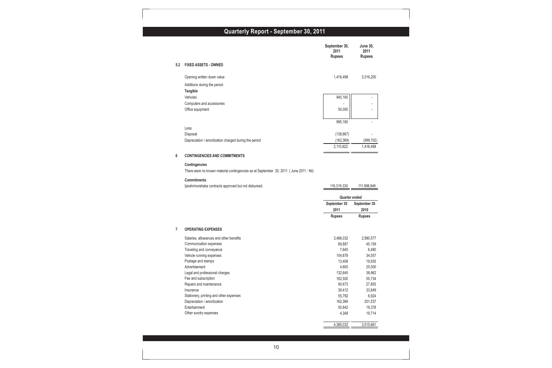## **Quarterly Report - September 30, 2011**

|     |                                                                                       | September 30,<br>2011<br><b>Rupees</b> | <b>June 30,</b><br>2011<br><b>Rupees</b> |
|-----|---------------------------------------------------------------------------------------|----------------------------------------|------------------------------------------|
| 5.2 | <b>FIXED ASSETS - OWNED</b>                                                           |                                        |                                          |
|     | Opening written down value                                                            | 1,416,498                              | 2,016,200                                |
|     | Additions during the period                                                           |                                        |                                          |
|     | Tangible                                                                              |                                        |                                          |
|     | Vehicles                                                                              | 945,160                                |                                          |
|     | Computers and accessories                                                             |                                        |                                          |
|     | Office equipment                                                                      | 50,000                                 |                                          |
|     |                                                                                       |                                        |                                          |
|     | Less:                                                                                 | 995,160                                |                                          |
|     | Disposal                                                                              | (138, 667)                             |                                          |
|     | Depreciation / amortization charged during the period                                 | (162, 369)                             | (599, 702)                               |
|     |                                                                                       | 2,110,622                              | 1,416,498                                |
| 6   | <b>CONTINGENCIES AND COMMITMENTS</b>                                                  |                                        |                                          |
|     | Contingencies                                                                         |                                        |                                          |
|     | There were no known material contingencies as at September 30, 2011. (June 2011: Nil) |                                        |                                          |
|     | <b>Commitments</b>                                                                    |                                        |                                          |
|     | ljarah/morahaba contracts approved but not disbursed.                                 | 116,319,330                            | 111,998,949                              |
|     |                                                                                       | <b>Quarter ended</b>                   |                                          |
|     |                                                                                       | September 30                           | September 30                             |
|     |                                                                                       | 2011                                   | 2010                                     |
|     |                                                                                       | <b>Rupees</b>                          | <b>Rupees</b>                            |
| 7   | <b>OPERATING EXPENSES</b>                                                             |                                        |                                          |
|     | Salaries, allowances and other benefits                                               | 3,486,032                              | 2,980,577                                |
|     | Communication expenses                                                                | 69,887                                 | 45,159                                   |
|     | Traveling and conveyance                                                              | 7,645                                  | 6,480                                    |
|     | Vehicle running expenses                                                              | 104,878                                | 34,557                                   |
|     | Postage and stamps                                                                    | 13,409                                 | 19,935                                   |
|     | Advertisement                                                                         | 4,600                                  | 25,000                                   |
|     | Legal and professional charges                                                        | 132,645                                | 38,962                                   |
|     | Fee and subscription                                                                  | 162,500                                | 55,734                                   |
|     | Repairs and maintenance                                                               | 90,673                                 | 27,855                                   |
|     | Insurance                                                                             | 39,412                                 | 33,849                                   |
|     | Stationery, printing and other expenses                                               | 55,792                                 | 6,924                                    |
|     | Depreciation / amortization                                                           | 162,369                                | 201,537                                  |
|     | Entertainment                                                                         | 50,842                                 | 19,378                                   |
|     | Other sundry expenses                                                                 | 4,348                                  | 19,714                                   |
|     |                                                                                       |                                        |                                          |
|     |                                                                                       | 4,385,032                              | 3,515,661                                |
|     |                                                                                       |                                        |                                          |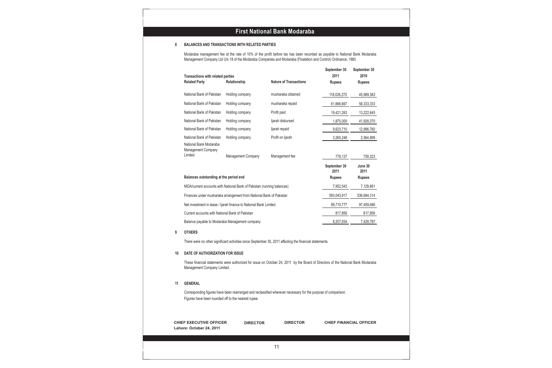#### **8 BALANCES AND TRANSACTIONS WITH RELATED PARTIES**

้ Modaraba management fee at the rate of 10% of the profit before tax has been recorded as payable to National Bank Modaraba Management Company Ltd U/s 18 of the Modaraba Companies and Modaraba (Floatation and Control) Ordinance, 1980

| Transactions with related parties<br><b>Related Party</b>      | Relationship                                                            | <b>Nature of Transactions</b>                                                                                                    | September 30<br>2011<br><b>Rupees</b> | September 30<br>2010<br><b>Rupees</b> |
|----------------------------------------------------------------|-------------------------------------------------------------------------|----------------------------------------------------------------------------------------------------------------------------------|---------------------------------------|---------------------------------------|
| National Bank of Pakistan                                      | Holding company                                                         | musharaka obtained                                                                                                               | 118,026,270                           | 45,989,383                            |
| National Bank of Pakistan                                      | Holding company                                                         | musharaka repaid                                                                                                                 | 61,666,667                            | 58,333,333                            |
| National Bank of Pakistan                                      | Holding company                                                         | Profit paid                                                                                                                      | 19,421,263                            | 13,222,645                            |
| National Bank of Pakistan                                      | Holding company                                                         | ljarah disbursed                                                                                                                 | 1,875,000                             | 41,928,370                            |
| National Bank of Pakistan                                      | Holding company                                                         | ljarah repaid                                                                                                                    | 9,623,710                             | 12,996,760                            |
| National Bank of Pakistan                                      | Holding company                                                         | Profit on Ijarah                                                                                                                 | 3,265,248                             | 2,564,899                             |
| National Bank Modaraba<br><b>Management Company</b><br>Limited | <b>Management Company</b>                                               | Management fee                                                                                                                   | 778,137                               | 759,323                               |
|                                                                |                                                                         |                                                                                                                                  | September 30                          | June 30                               |
| Balances outstanding at the period end                         |                                                                         |                                                                                                                                  | 2011<br><b>Rupees</b>                 | 2011<br><b>Rupees</b>                 |
|                                                                | NIDA/current accounts with National Bank of Pakistan (running balances) |                                                                                                                                  | 7,952,543                             | 7,129,661                             |
|                                                                | Finances under musharaka arrangement from National Bank of Pakistan     |                                                                                                                                  | 593,043,917                           | 536,684,314                           |
|                                                                | Net investment in lease / ljarah finance to National Bank Limited       |                                                                                                                                  | 89,710,777                            | 97,459,486                            |
| Current accounts with National Bank of Pakistan                |                                                                         |                                                                                                                                  | 817,856                               | 817,856                               |
| Balance payable to Modaraba Management company                 |                                                                         |                                                                                                                                  | 8,207,934                             | 7,429,797                             |
| <b>OTHERS</b>                                                  |                                                                         |                                                                                                                                  |                                       |                                       |
|                                                                |                                                                         | There were no other significant activities since September 30, 2011 affecting the financial statements.                          |                                       |                                       |
| DATE OF AUTHORIZATION FOR ISSUE                                |                                                                         |                                                                                                                                  |                                       |                                       |
|                                                                |                                                                         |                                                                                                                                  |                                       |                                       |
| Management Company Limited.                                    |                                                                         | These financial statements were authorized for issue on October 24, 2011 by the Board of Directors of the National Bank Modaraba |                                       |                                       |
| <b>GENERAL</b>                                                 |                                                                         |                                                                                                                                  |                                       |                                       |
| Figures have been rounded off to the nearest rupee.            |                                                                         | Corresponding figures have been rearranged and reclassified wherever necessary for the purpose of comparison.                    |                                       |                                       |
| <b>CHIEF EXECUTIVE OFFICER</b>                                 | <b>DIRECTOR</b>                                                         | <b>DIRECTOR</b>                                                                                                                  | <b>CHIEF FINANCIAL OFFICER</b>        |                                       |

**Lahore: October 24, 2011**